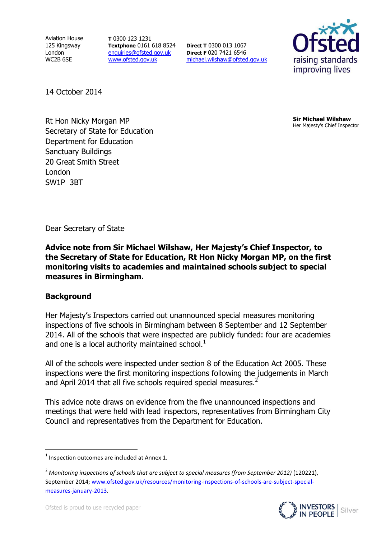Aviation House 125 Kingsway London WC2B 6SE

**T** 0300 123 1231 **Textphone** 0161 618 8524 [enquiries@ofsted.gov.uk](mailto:enquiries@ofsted.gov.uk) [www.ofsted.gov.uk](http://www.ofsted.gov.uk/)

**Direct T** 0300 013 1067 **Direct F** 020 7421 6546 [michael.wilshaw@ofsted.gov.uk](mailto:michael.wilshaw@ofsted.gov.uk)



14 October 2014

**Address** Rt Hon Nicky Morgan MP **Address** Secretary of State for Education Department for Education Sanctuary Buildings 20 Great Smith Street London SW1P 3BT

**Sir Michael Wilshaw** Her Majesty's Chief Inspector

Dear Secretary of State

**Advice note from Sir Michael Wilshaw, Her Majesty's Chief Inspector, to the Secretary of State for Education, Rt Hon Nicky Morgan MP, on the first monitoring visits to academies and maintained schools subject to special measures in Birmingham.** 

#### **Background**

 $\overline{a}$ 

Her Majesty's Inspectors carried out unannounced special measures monitoring inspections of five schools in Birmingham between 8 September and 12 September 2014. All of the schools that were inspected are publicly funded: four are academies and one is a local authority maintained school. $<sup>1</sup>$ </sup>

All of the schools were inspected under section 8 of the Education Act 2005. These inspections were the first monitoring inspections following the judgements in March and April 2014 that all five schools required special measures.<sup>2</sup>

This advice note draws on evidence from the five unannounced inspections and meetings that were held with lead inspectors, representatives from Birmingham City Council and representatives from the Department for Education.

<sup>2</sup> *Monitoring inspections of schools that are subject to special measures (from September 2012)* (120221), September 2014; [www.ofsted.gov.uk/resources/monitoring-inspections-of-schools-are-subject-special](http://www.ofsted.gov.uk/resources/monitoring-inspections-of-schools-are-subject-special-measures-january-2013)[measures-january-2013.](http://www.ofsted.gov.uk/resources/monitoring-inspections-of-schools-are-subject-special-measures-january-2013)



 $1$  Inspection outcomes are included at Annex 1.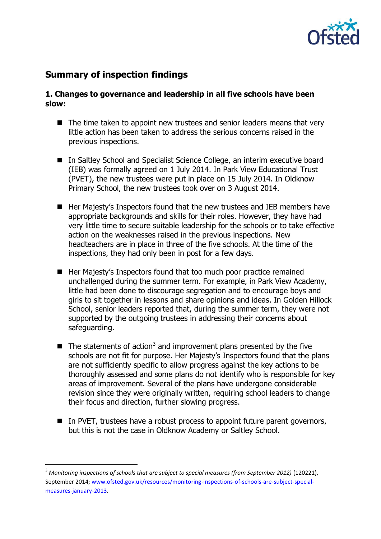

## **Summary of inspection findings**

#### **1. Changes to governance and leadership in all five schools have been slow:**

- The time taken to appoint new trustees and senior leaders means that very little action has been taken to address the serious concerns raised in the previous inspections.
- In Saltley School and Specialist Science College, an interim executive board (IEB) was formally agreed on 1 July 2014. In Park View Educational Trust (PVET), the new trustees were put in place on 15 July 2014. In Oldknow Primary School, the new trustees took over on 3 August 2014.
- Her Majesty's Inspectors found that the new trustees and IEB members have appropriate backgrounds and skills for their roles. However, they have had very little time to secure suitable leadership for the schools or to take effective action on the weaknesses raised in the previous inspections. New headteachers are in place in three of the five schools. At the time of the inspections, they had only been in post for a few days.
- Her Majesty's Inspectors found that too much poor practice remained unchallenged during the summer term. For example, in Park View Academy, little had been done to discourage segregation and to encourage boys and girls to sit together in lessons and share opinions and ideas. In Golden Hillock School, senior leaders reported that, during the summer term, they were not supported by the outgoing trustees in addressing their concerns about safeguarding.
- $\blacksquare$  The statements of action<sup>3</sup> and improvement plans presented by the five schools are not fit for purpose. Her Majesty's Inspectors found that the plans are not sufficiently specific to allow progress against the key actions to be thoroughly assessed and some plans do not identify who is responsible for key areas of improvement. Several of the plans have undergone considerable revision since they were originally written, requiring school leaders to change their focus and direction, further slowing progress.
- In PVET, trustees have a robust process to appoint future parent governors, but this is not the case in Oldknow Academy or Saltley School.

 $\overline{a}$ 

<sup>3</sup> *Monitoring inspections of schools that are subject to special measures (from September 2012)* (120221), September 2014; [www.ofsted.gov.uk/resources/monitoring-inspections-of-schools-are-subject-special](http://www.ofsted.gov.uk/resources/monitoring-inspections-of-schools-are-subject-special-measures-january-2013)[measures-january-2013.](http://www.ofsted.gov.uk/resources/monitoring-inspections-of-schools-are-subject-special-measures-january-2013)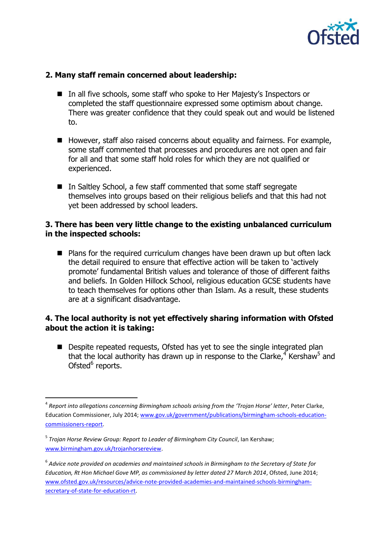

#### **2. Many staff remain concerned about leadership:**

- In all five schools, some staff who spoke to Her Majesty's Inspectors or completed the staff questionnaire expressed some optimism about change. There was greater confidence that they could speak out and would be listened to.
- $\blacksquare$  However, staff also raised concerns about equality and fairness. For example, some staff commented that processes and procedures are not open and fair for all and that some staff hold roles for which they are not qualified or experienced.
- In Saltley School, a few staff commented that some staff segregate themselves into groups based on their religious beliefs and that this had not yet been addressed by school leaders.

#### **3. There has been very little change to the existing unbalanced curriculum in the inspected schools:**

■ Plans for the required curriculum changes have been drawn up but often lack the detail required to ensure that effective action will be taken to 'actively promote' fundamental British values and tolerance of those of different faiths and beliefs. In Golden Hillock School, religious education GCSE students have to teach themselves for options other than Islam. As a result, these students are at a significant disadvantage.

#### **4. The local authority is not yet effectively sharing information with Ofsted about the action it is taking:**

■ Despite repeated requests, Ofsted has yet to see the single integrated plan that the local authority has drawn up in response to the Clarke,  $4\overline{}$  Kershaw<sup>5</sup> and Ofsted<sup>6</sup> reports.

 $\overline{a}$ 

<sup>4</sup> *Report into allegations concerning Birmingham schools arising from the 'Trojan Horse' letter*, Peter Clarke, Education Commissioner, July 2014; [www.gov.uk/government/publications/birmingham-schools-education](http://www.gov.uk/government/publications/birmingham-schools-education-commissioners-report)[commissioners-report.](http://www.gov.uk/government/publications/birmingham-schools-education-commissioners-report)

<sup>5</sup> *Trojan Horse Review Group: Report to Leader of Birmingham City Council*, Ian Kershaw; [www.birmingham.gov.uk/trojanhorsereview.](http://www.birmingham.gov.uk/trojanhorsereview)

 $^6$  Advice note provided on academies and maintained schools in Birmingham to the Secretary of State for *Education, Rt Hon Michael Gove MP, as commissioned by letter dated 27 March 2014*, Ofsted, June 2014; [www.ofsted.gov.uk/resources/advice-note-provided-academies-and-maintained-schools-birmingham](http://www.ofsted.gov.uk/resources/advice-note-provided-academies-and-maintained-schools-birmingham-secretary-of-state-for-education-rt)[secretary-of-state-for-education-rt.](http://www.ofsted.gov.uk/resources/advice-note-provided-academies-and-maintained-schools-birmingham-secretary-of-state-for-education-rt)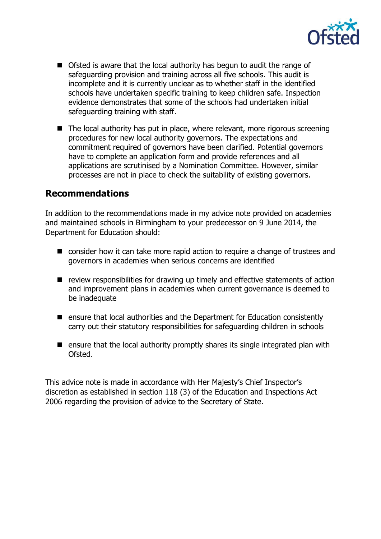

- Ofsted is aware that the local authority has begun to audit the range of safeguarding provision and training across all five schools. This audit is incomplete and it is currently unclear as to whether staff in the identified schools have undertaken specific training to keep children safe. Inspection evidence demonstrates that some of the schools had undertaken initial safeguarding training with staff.
- The local authority has put in place, where relevant, more rigorous screening procedures for new local authority governors. The expectations and commitment required of governors have been clarified. Potential governors have to complete an application form and provide references and all applications are scrutinised by a Nomination Committee. However, similar processes are not in place to check the suitability of existing governors.

### **Recommendations**

In addition to the recommendations made in my advice note provided on academies and maintained schools in Birmingham to your predecessor on 9 June 2014, the Department for Education should:

- consider how it can take more rapid action to require a change of trustees and governors in academies when serious concerns are identified
- $\blacksquare$  review responsibilities for drawing up timely and effective statements of action and improvement plans in academies when current governance is deemed to be inadequate
- **E** ensure that local authorities and the Department for Education consistently carry out their statutory responsibilities for safeguarding children in schools
- $\blacksquare$  ensure that the local authority promptly shares its single integrated plan with Ofsted.

This advice note is made in accordance with Her Majesty's Chief Inspector's discretion as established in section 118 (3) of the Education and Inspections Act 2006 regarding the provision of advice to the Secretary of State.